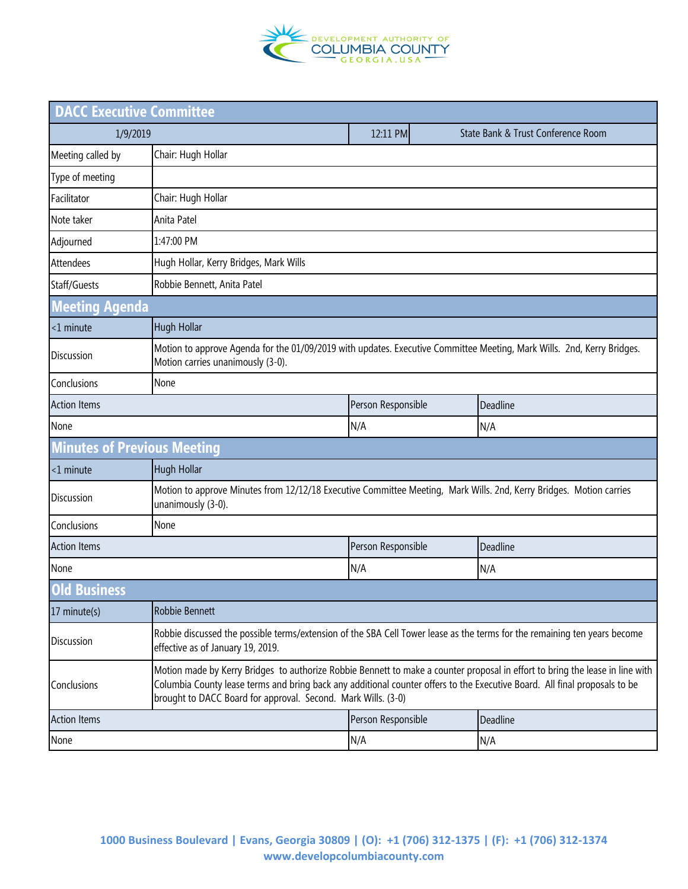

| <b>DACC Executive Committee</b>    |                                                                                                                                                                                                                                                                                                                              |                    |                                    |  |  |  |
|------------------------------------|------------------------------------------------------------------------------------------------------------------------------------------------------------------------------------------------------------------------------------------------------------------------------------------------------------------------------|--------------------|------------------------------------|--|--|--|
| 1/9/2019                           |                                                                                                                                                                                                                                                                                                                              | 12:11 PM           | State Bank & Trust Conference Room |  |  |  |
| Meeting called by                  | Chair: Hugh Hollar                                                                                                                                                                                                                                                                                                           |                    |                                    |  |  |  |
| Type of meeting                    |                                                                                                                                                                                                                                                                                                                              |                    |                                    |  |  |  |
| Facilitator                        | Chair: Hugh Hollar                                                                                                                                                                                                                                                                                                           |                    |                                    |  |  |  |
| Note taker                         | Anita Patel                                                                                                                                                                                                                                                                                                                  |                    |                                    |  |  |  |
| Adjourned                          | 1:47:00 PM                                                                                                                                                                                                                                                                                                                   |                    |                                    |  |  |  |
| Attendees                          | Hugh Hollar, Kerry Bridges, Mark Wills                                                                                                                                                                                                                                                                                       |                    |                                    |  |  |  |
| Staff/Guests                       | Robbie Bennett, Anita Patel                                                                                                                                                                                                                                                                                                  |                    |                                    |  |  |  |
| <b>Meeting Agenda</b>              |                                                                                                                                                                                                                                                                                                                              |                    |                                    |  |  |  |
| <1 minute                          | <b>Hugh Hollar</b>                                                                                                                                                                                                                                                                                                           |                    |                                    |  |  |  |
| <b>Discussion</b>                  | Motion to approve Agenda for the 01/09/2019 with updates. Executive Committee Meeting, Mark Wills. 2nd, Kerry Bridges.<br>Motion carries unanimously (3-0).                                                                                                                                                                  |                    |                                    |  |  |  |
| Conclusions                        | None                                                                                                                                                                                                                                                                                                                         |                    |                                    |  |  |  |
| <b>Action Items</b>                |                                                                                                                                                                                                                                                                                                                              |                    | Deadline                           |  |  |  |
| None                               |                                                                                                                                                                                                                                                                                                                              | N/A                | N/A                                |  |  |  |
| <b>Minutes of Previous Meeting</b> |                                                                                                                                                                                                                                                                                                                              |                    |                                    |  |  |  |
| <1 minute                          | <b>Hugh Hollar</b>                                                                                                                                                                                                                                                                                                           |                    |                                    |  |  |  |
| Discussion                         | Motion to approve Minutes from 12/12/18 Executive Committee Meeting, Mark Wills. 2nd, Kerry Bridges. Motion carries<br>unanimously (3-0).                                                                                                                                                                                    |                    |                                    |  |  |  |
| Conclusions                        | None                                                                                                                                                                                                                                                                                                                         |                    |                                    |  |  |  |
| <b>Action Items</b>                |                                                                                                                                                                                                                                                                                                                              | Person Responsible | Deadline                           |  |  |  |
| None                               |                                                                                                                                                                                                                                                                                                                              | N/A                | N/A                                |  |  |  |
| <b>Old Business</b>                |                                                                                                                                                                                                                                                                                                                              |                    |                                    |  |  |  |
| 17 minute(s)                       | Robbie Bennett                                                                                                                                                                                                                                                                                                               |                    |                                    |  |  |  |
| Discussion                         | Robbie discussed the possible terms/extension of the SBA Cell Tower lease as the terms for the remaining ten years become<br>effective as of January 19, 2019.                                                                                                                                                               |                    |                                    |  |  |  |
| Conclusions                        | Motion made by Kerry Bridges to authorize Robbie Bennett to make a counter proposal in effort to bring the lease in line with<br>Columbia County lease terms and bring back any additional counter offers to the Executive Board. All final proposals to be<br>brought to DACC Board for approval. Second. Mark Wills. (3-0) |                    |                                    |  |  |  |
| <b>Action Items</b>                |                                                                                                                                                                                                                                                                                                                              | Person Responsible | Deadline                           |  |  |  |
| None                               |                                                                                                                                                                                                                                                                                                                              | N/A                | N/A                                |  |  |  |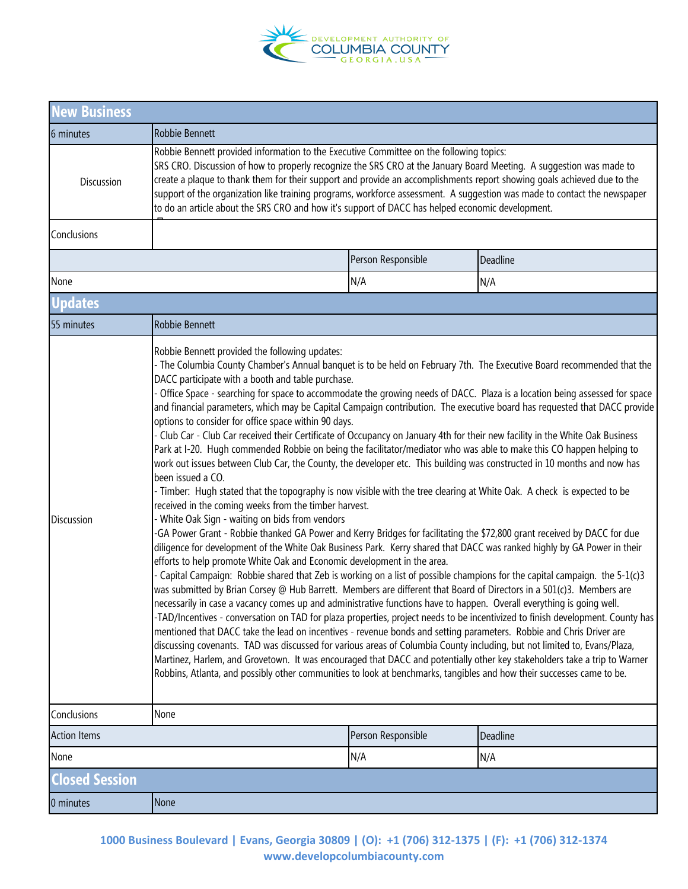

| <b>New Business</b>                        |                                                                                                                                                                                                                                                                                                                                                                                                                                                                                                                                                                                                                                                                                                                                                                                                                                                                                                                                                                                                                                                                                                                                                                                                                                                                                                                                                                                                                                                                                                                                                                                                                                                                                                                                                                                                                                                                                                                                                                                                                                                                                                                                                                                                                                                                                                                                                                                                                                                                                                                                                                |                    |          |  |  |
|--------------------------------------------|----------------------------------------------------------------------------------------------------------------------------------------------------------------------------------------------------------------------------------------------------------------------------------------------------------------------------------------------------------------------------------------------------------------------------------------------------------------------------------------------------------------------------------------------------------------------------------------------------------------------------------------------------------------------------------------------------------------------------------------------------------------------------------------------------------------------------------------------------------------------------------------------------------------------------------------------------------------------------------------------------------------------------------------------------------------------------------------------------------------------------------------------------------------------------------------------------------------------------------------------------------------------------------------------------------------------------------------------------------------------------------------------------------------------------------------------------------------------------------------------------------------------------------------------------------------------------------------------------------------------------------------------------------------------------------------------------------------------------------------------------------------------------------------------------------------------------------------------------------------------------------------------------------------------------------------------------------------------------------------------------------------------------------------------------------------------------------------------------------------------------------------------------------------------------------------------------------------------------------------------------------------------------------------------------------------------------------------------------------------------------------------------------------------------------------------------------------------------------------------------------------------------------------------------------------------|--------------------|----------|--|--|
| 6 minutes                                  | Robbie Bennett                                                                                                                                                                                                                                                                                                                                                                                                                                                                                                                                                                                                                                                                                                                                                                                                                                                                                                                                                                                                                                                                                                                                                                                                                                                                                                                                                                                                                                                                                                                                                                                                                                                                                                                                                                                                                                                                                                                                                                                                                                                                                                                                                                                                                                                                                                                                                                                                                                                                                                                                                 |                    |          |  |  |
| Discussion                                 | Robbie Bennett provided information to the Executive Committee on the following topics:<br>SRS CRO. Discussion of how to properly recognize the SRS CRO at the January Board Meeting. A suggestion was made to<br>create a plaque to thank them for their support and provide an accomplishments report showing goals achieved due to the<br>support of the organization like training programs, workforce assessment. A suggestion was made to contact the newspaper<br>to do an article about the SRS CRO and how it's support of DACC has helped economic development.                                                                                                                                                                                                                                                                                                                                                                                                                                                                                                                                                                                                                                                                                                                                                                                                                                                                                                                                                                                                                                                                                                                                                                                                                                                                                                                                                                                                                                                                                                                                                                                                                                                                                                                                                                                                                                                                                                                                                                                      |                    |          |  |  |
| Conclusions                                |                                                                                                                                                                                                                                                                                                                                                                                                                                                                                                                                                                                                                                                                                                                                                                                                                                                                                                                                                                                                                                                                                                                                                                                                                                                                                                                                                                                                                                                                                                                                                                                                                                                                                                                                                                                                                                                                                                                                                                                                                                                                                                                                                                                                                                                                                                                                                                                                                                                                                                                                                                |                    |          |  |  |
|                                            |                                                                                                                                                                                                                                                                                                                                                                                                                                                                                                                                                                                                                                                                                                                                                                                                                                                                                                                                                                                                                                                                                                                                                                                                                                                                                                                                                                                                                                                                                                                                                                                                                                                                                                                                                                                                                                                                                                                                                                                                                                                                                                                                                                                                                                                                                                                                                                                                                                                                                                                                                                | Person Responsible | Deadline |  |  |
| None                                       |                                                                                                                                                                                                                                                                                                                                                                                                                                                                                                                                                                                                                                                                                                                                                                                                                                                                                                                                                                                                                                                                                                                                                                                                                                                                                                                                                                                                                                                                                                                                                                                                                                                                                                                                                                                                                                                                                                                                                                                                                                                                                                                                                                                                                                                                                                                                                                                                                                                                                                                                                                | N/A                | N/A      |  |  |
| <b>Updates</b>                             |                                                                                                                                                                                                                                                                                                                                                                                                                                                                                                                                                                                                                                                                                                                                                                                                                                                                                                                                                                                                                                                                                                                                                                                                                                                                                                                                                                                                                                                                                                                                                                                                                                                                                                                                                                                                                                                                                                                                                                                                                                                                                                                                                                                                                                                                                                                                                                                                                                                                                                                                                                |                    |          |  |  |
| 55 minutes                                 | Robbie Bennett                                                                                                                                                                                                                                                                                                                                                                                                                                                                                                                                                                                                                                                                                                                                                                                                                                                                                                                                                                                                                                                                                                                                                                                                                                                                                                                                                                                                                                                                                                                                                                                                                                                                                                                                                                                                                                                                                                                                                                                                                                                                                                                                                                                                                                                                                                                                                                                                                                                                                                                                                 |                    |          |  |  |
| Discussion                                 | Robbie Bennett provided the following updates:<br>- The Columbia County Chamber's Annual banquet is to be held on February 7th. The Executive Board recommended that the<br>DACC participate with a booth and table purchase.<br>- Office Space - searching for space to accommodate the growing needs of DACC. Plaza is a location being assessed for space<br>and financial parameters, which may be Capital Campaign contribution. The executive board has requested that DACC provide<br>options to consider for office space within 90 days.<br>- Club Car - Club Car received their Certificate of Occupancy on January 4th for their new facility in the White Oak Business<br>Park at I-20. Hugh commended Robbie on being the facilitator/mediator who was able to make this CO happen helping to<br>work out issues between Club Car, the County, the developer etc. This building was constructed in 10 months and now has<br>been issued a CO.<br>- Timber: Hugh stated that the topography is now visible with the tree clearing at White Oak. A check is expected to be<br>received in the coming weeks from the timber harvest.<br>- White Oak Sign - waiting on bids from vendors<br>-GA Power Grant - Robbie thanked GA Power and Kerry Bridges for facilitating the \$72,800 grant received by DACC for due<br>diligence for development of the White Oak Business Park. Kerry shared that DACC was ranked highly by GA Power in their<br>efforts to help promote White Oak and Economic development in the area.<br>- Capital Campaign: Robbie shared that Zeb is working on a list of possible champions for the capital campaign. the 5-1(c)3<br>was submitted by Brian Corsey @ Hub Barrett. Members are different that Board of Directors in a 501(c)3. Members are<br>necessarily in case a vacancy comes up and administrative functions have to happen. Overall everything is going well.<br>-TAD/Incentives - conversation on TAD for plaza properties, project needs to be incentivized to finish development. County has<br>mentioned that DACC take the lead on incentives - revenue bonds and setting parameters. Robbie and Chris Driver are<br>discussing covenants. TAD was discussed for various areas of Columbia County including, but not limited to, Evans/Plaza,<br>Martinez, Harlem, and Grovetown. It was encouraged that DACC and potentially other key stakeholders take a trip to Warner<br>Robbins, Atlanta, and possibly other communities to look at benchmarks, tangibles and how their successes came to be. |                    |          |  |  |
| None<br>Conclusions<br><b>Action Items</b> |                                                                                                                                                                                                                                                                                                                                                                                                                                                                                                                                                                                                                                                                                                                                                                                                                                                                                                                                                                                                                                                                                                                                                                                                                                                                                                                                                                                                                                                                                                                                                                                                                                                                                                                                                                                                                                                                                                                                                                                                                                                                                                                                                                                                                                                                                                                                                                                                                                                                                                                                                                | Person Responsible | Deadline |  |  |
| None                                       |                                                                                                                                                                                                                                                                                                                                                                                                                                                                                                                                                                                                                                                                                                                                                                                                                                                                                                                                                                                                                                                                                                                                                                                                                                                                                                                                                                                                                                                                                                                                                                                                                                                                                                                                                                                                                                                                                                                                                                                                                                                                                                                                                                                                                                                                                                                                                                                                                                                                                                                                                                | N/A                | N/A      |  |  |
| <b>Closed Session</b>                      |                                                                                                                                                                                                                                                                                                                                                                                                                                                                                                                                                                                                                                                                                                                                                                                                                                                                                                                                                                                                                                                                                                                                                                                                                                                                                                                                                                                                                                                                                                                                                                                                                                                                                                                                                                                                                                                                                                                                                                                                                                                                                                                                                                                                                                                                                                                                                                                                                                                                                                                                                                |                    |          |  |  |
| 0 minutes                                  | None                                                                                                                                                                                                                                                                                                                                                                                                                                                                                                                                                                                                                                                                                                                                                                                                                                                                                                                                                                                                                                                                                                                                                                                                                                                                                                                                                                                                                                                                                                                                                                                                                                                                                                                                                                                                                                                                                                                                                                                                                                                                                                                                                                                                                                                                                                                                                                                                                                                                                                                                                           |                    |          |  |  |